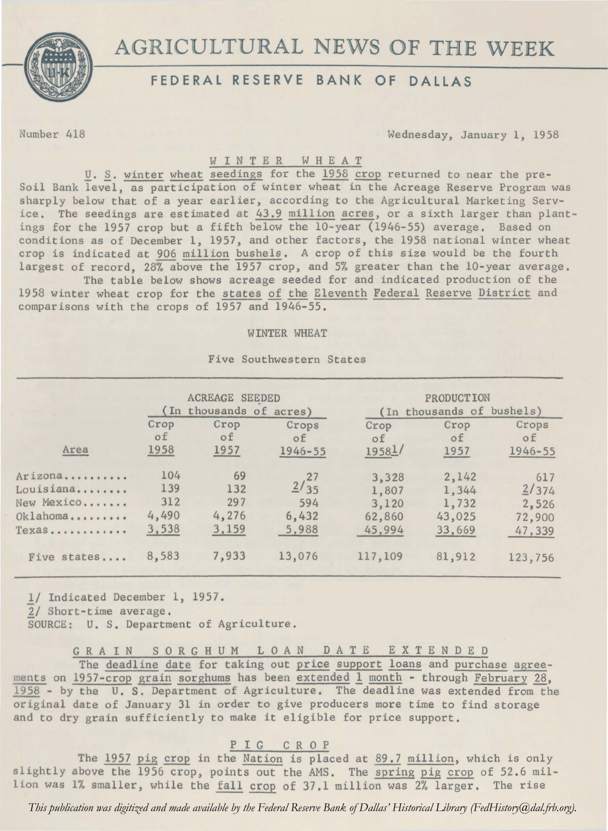

# AGRICULTURAL NEWS OF THE WEEK

## **FEDERAL RESERVE BANK OF DALLAS**

Number 418 Wednesday, January 1, 1958

### WINTER W H E A T

*U. S. winter wheat seedings for the 1958 crop returned to near the pre-*Soil Bank level, as participation of winter wheat in the Acreage Reserve Program was sharply below that of a year earlier, according to the Agricultural Marketing Service. The seedings are estimated at 43.9 million acres, or a sixth larger than plantings for the 1957 crop but a fifth below the 10-year (1946-55) average. Based on conditions as of December 1, 1957, and other factors, the 1958 national winter wheat crop is indicated at 906 million bushels. A crop of this size would be the fourth largest of record, 28% above the 1957 crop, and 5% greater than the 10-year average.

The table below shows acreage seeded for and indicated production of the 1958 winter wheat crop for the states of the Eleventh Federal Reserve District and comparisons with the crops of 1957 and 1946-55.

#### WINTER WHEAT

|                                                            | <b>ACREAGE SEEDED</b><br>(In thousands of acres) |                                    |                                         | PRODUCTION<br>(In thousands of bushels)     |                                             |                                           |
|------------------------------------------------------------|--------------------------------------------------|------------------------------------|-----------------------------------------|---------------------------------------------|---------------------------------------------|-------------------------------------------|
| Area                                                       | Crop<br>of<br>1958                               | Crop<br>$\circ$ f<br>1957          | Crops<br>of<br>$1946 - 55$              | Crop<br>of<br>19581/                        | Crop<br>οf<br>1957                          | Crops<br>of<br>1946-55                    |
| Arizona<br>Louisiana<br>New Mexico<br>Oklahoma<br>$T$ exas | 104<br>139<br>312<br>4,490<br>3,538              | 69<br>132<br>297<br>4,276<br>3,159 | $\frac{2}{35}$<br>594<br>6,432<br>5,988 | 3,328<br>1,807<br>3,120<br>62,860<br>45,994 | 2,142<br>1,344<br>1,732<br>43,025<br>33,669 | 617<br>2/374<br>2,526<br>72,900<br>47,339 |
| Five states                                                | 8,583                                            | 7,933                              | 13,076                                  | 117,109                                     | 81,912                                      | 123,756                                   |
|                                                            |                                                  |                                    |                                         |                                             |                                             |                                           |

Five Southwestern States

1/ Indicated December 1, 1957. 2/ Short-time average. SOURCE: U. S, Department of Agriculture.

G R A I N S 0 R G H U M L 0 A N D A T E E X T E N D E D

The deadline date for taking out price support loans and purchase agreements on 1957-crop grain sorghums has been extended 1 month - through February 28, 1958 - by the U.S. Department of Agriculture. The deadline was extended from the original date of January 31 in order to give producers more time to find storage and to dry grain sufficiently to make it eligible for price support.

### P I G C R O P

The 1957 pig crop in the Nation is placed at 89.7 million, which is only slightly above the 1956 crop, points out the AMS. The spring pig crop of 52.6 million was 1% smaller, while the fall crop of 37.1 million was 2% larger. The rise

*This publication was digitized and made available by the Federal Reserve Bank of Dallas' Historical Library (FedHistory@dal.frb.org).*